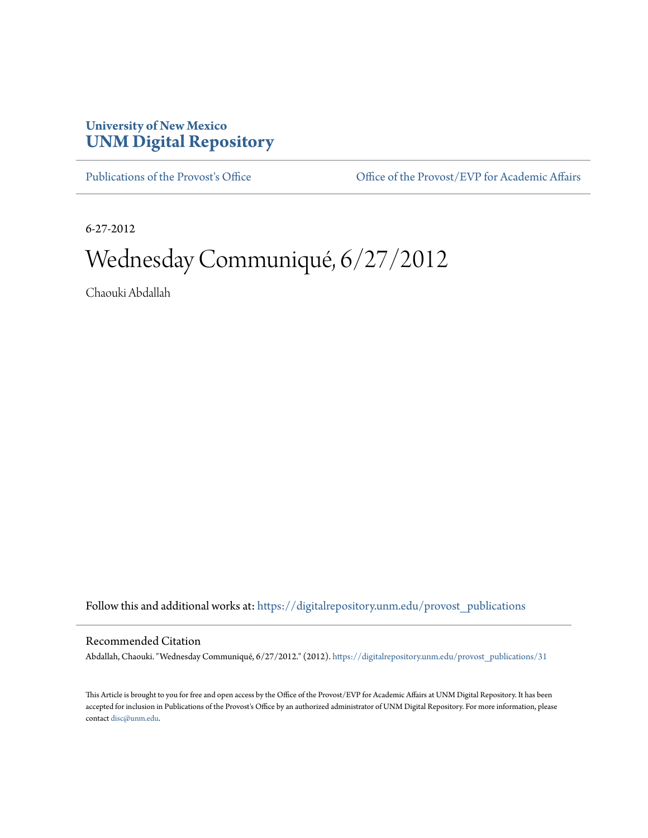## **University of New Mexico [UNM Digital Repository](https://digitalrepository.unm.edu?utm_source=digitalrepository.unm.edu%2Fprovost_publications%2F31&utm_medium=PDF&utm_campaign=PDFCoverPages)**

[Publications of the Provost's Office](https://digitalrepository.unm.edu/provost_publications?utm_source=digitalrepository.unm.edu%2Fprovost_publications%2F31&utm_medium=PDF&utm_campaign=PDFCoverPages) Office [Office of the Provost/EVP for Academic Affairs](https://digitalrepository.unm.edu/ofc_provost?utm_source=digitalrepository.unm.edu%2Fprovost_publications%2F31&utm_medium=PDF&utm_campaign=PDFCoverPages)

6-27-2012

# Wednesday Communiqué, 6/27/2012

Chaouki Abdallah

Follow this and additional works at: [https://digitalrepository.unm.edu/provost\\_publications](https://digitalrepository.unm.edu/provost_publications?utm_source=digitalrepository.unm.edu%2Fprovost_publications%2F31&utm_medium=PDF&utm_campaign=PDFCoverPages)

#### Recommended Citation

Abdallah, Chaouki. "Wednesday Communiqué, 6/27/2012." (2012). [https://digitalrepository.unm.edu/provost\\_publications/31](https://digitalrepository.unm.edu/provost_publications/31?utm_source=digitalrepository.unm.edu%2Fprovost_publications%2F31&utm_medium=PDF&utm_campaign=PDFCoverPages)

This Article is brought to you for free and open access by the Office of the Provost/EVP for Academic Affairs at UNM Digital Repository. It has been accepted for inclusion in Publications of the Provost's Office by an authorized administrator of UNM Digital Repository. For more information, please contact [disc@unm.edu.](mailto:disc@unm.edu)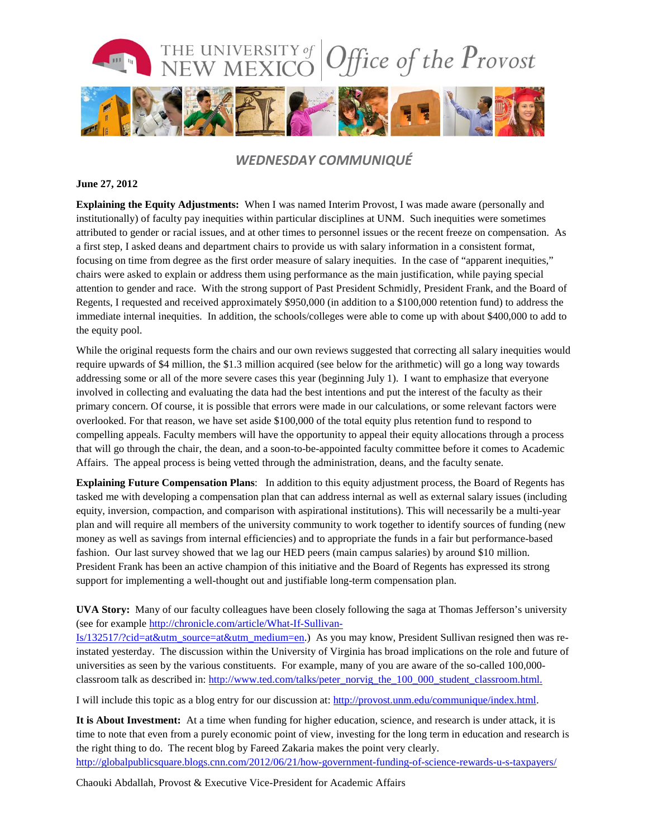

### *WEDNESDAY COMMUNIQUÉ*

#### **June 27, 2012**

**Explaining the Equity Adjustments:** When I was named Interim Provost, I was made aware (personally and institutionally) of faculty pay inequities within particular disciplines at UNM. Such inequities were sometimes attributed to gender or racial issues, and at other times to personnel issues or the recent freeze on compensation. As a first step, I asked deans and department chairs to provide us with salary information in a consistent format, focusing on time from degree as the first order measure of salary inequities. In the case of "apparent inequities," chairs were asked to explain or address them using performance as the main justification, while paying special attention to gender and race. With the strong support of Past President Schmidly, President Frank, and the Board of Regents, I requested and received approximately \$950,000 (in addition to a \$100,000 retention fund) to address the immediate internal inequities. In addition, the schools/colleges were able to come up with about \$400,000 to add to the equity pool.

While the original requests form the chairs and our own reviews suggested that correcting all salary inequities would require upwards of \$4 million, the \$1.3 million acquired (see below for the arithmetic) will go a long way towards addressing some or all of the more severe cases this year (beginning July 1). I want to emphasize that everyone involved in collecting and evaluating the data had the best intentions and put the interest of the faculty as their primary concern. Of course, it is possible that errors were made in our calculations, or some relevant factors were overlooked. For that reason, we have set aside \$100,000 of the total equity plus retention fund to respond to compelling appeals. Faculty members will have the opportunity to appeal their equity allocations through a process that will go through the chair, the dean, and a soon-to-be-appointed faculty committee before it comes to Academic Affairs. The appeal process is being vetted through the administration, deans, and the faculty senate.

**Explaining Future Compensation Plans**: In addition to this equity adjustment process, the Board of Regents has tasked me with developing a compensation plan that can address internal as well as external salary issues (including equity, inversion, compaction, and comparison with aspirational institutions). This will necessarily be a multi-year plan and will require all members of the university community to work together to identify sources of funding (new money as well as savings from internal efficiencies) and to appropriate the funds in a fair but performance-based fashion. Our last survey showed that we lag our HED peers (main campus salaries) by around \$10 million. President Frank has been an active champion of this initiative and the Board of Regents has expressed its strong support for implementing a well-thought out and justifiable long-term compensation plan.

**UVA Story:** Many of our faculty colleagues have been closely following the saga at Thomas Jefferson's university (see for example [http://chronicle.com/article/What-If-Sullivan-](http://chronicle.com/article/What-If-Sullivan-Is/132517/?cid=at&utm_source=at&utm_medium=en)

[Is/132517/?cid=at&utm\\_source=at&utm\\_medium=en.](http://chronicle.com/article/What-If-Sullivan-Is/132517/?cid=at&utm_source=at&utm_medium=en)) As you may know, President Sullivan resigned then was reinstated yesterday. The discussion within the University of Virginia has broad implications on the role and future of universities as seen by the various constituents. For example, many of you are aware of the so-called 100,000 classroom talk as described in: [http://www.ted.com/talks/peter\\_norvig\\_the\\_100\\_000\\_student\\_classroom.html.](http://www.ted.com/talks/peter_norvig_the_100_000_student_classroom.html)

I will include this topic as a blog entry for our discussion at: [http://provost.unm.edu/communique/index.html.](http://provost.unm.edu/communique/index.html)

**It is About Investment:** At a time when funding for higher education, science, and research is under attack, it is time to note that even from a purely economic point of view, investing for the long term in education and research is the right thing to do. The recent blog by Fareed Zakaria makes the point very clearly.

<http://globalpublicsquare.blogs.cnn.com/2012/06/21/how-government-funding-of-science-rewards-u-s-taxpayers/>

Chaouki Abdallah, Provost & Executive Vice-President for Academic Affairs